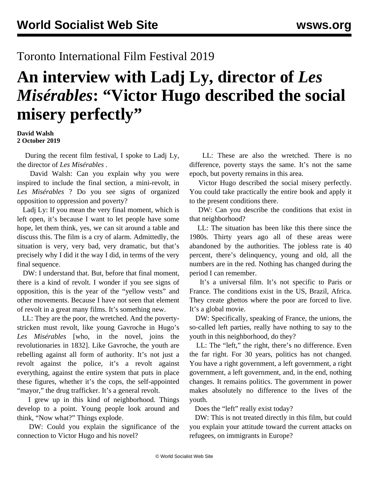## Toronto International Film Festival 2019

## **An interview with Ladj Ly, director of** *Les Misérables***: "Victor Hugo described the social misery perfectly"**

## **David Walsh 2 October 2019**

 During the recent film festival, I spoke to Ladj Ly, the director of *Les Misérables* .

 David Walsh: Can you explain why you were inspired to include the final section, a mini-revolt, in *Les Misérables* ? Do you see signs of organized opposition to oppression and poverty?

 Ladj Ly: If you mean the very final moment, which is left open, it's because I want to let people have some hope, let them think, yes, we can sit around a table and discuss this. The film is a cry of alarm. Admittedly, the situation is very, very bad, very dramatic, but that's precisely why I did it the way I did, in terms of the very final sequence.

 DW: I understand that. But, before that final moment, there is a kind of revolt. I wonder if you see signs of opposition, this is the year of the "yellow vests" and other movements. Because I have not seen that element of revolt in a great many films. It's something new.

 LL: They are the poor, the wretched. And the povertystricken must revolt, like young Gavroche in Hugo's *Les Misérables* [who, in the novel, joins the revolutionaries in 1832]. Like Gavroche, the youth are rebelling against all form of authority. It's not just a revolt against the police, it's a revolt against everything, against the entire system that puts in place these figures, whether it's the cops, the self-appointed "mayor," the drug trafficker. It's a general revolt.

 I grew up in this kind of neighborhood. Things develop to a point. Young people look around and think, "Now what?" Things explode.

 DW: Could you explain the significance of the connection to Victor Hugo and his novel?

 LL: These are also the wretched. There is no difference, poverty stays the same. It's not the same epoch, but poverty remains in this area.

 Victor Hugo described the social misery perfectly. You could take practically the entire book and apply it to the present conditions there.

 DW: Can you describe the conditions that exist in that neighborhood?

 LL: The situation has been like this there since the 1980s. Thirty years ago all of these areas were abandoned by the authorities. The jobless rate is 40 percent, there's delinquency, young and old, all the numbers are in the red. Nothing has changed during the period I can remember.

 It's a universal film. It's not specific to Paris or France. The conditions exist in the US, Brazil, Africa. They create ghettos where the poor are forced to live. It's a global movie.

 DW: Specifically, speaking of France, the unions, the so-called left parties, really have nothing to say to the youth in this neighborhood, do they?

 LL: The "left," the right, there's no difference. Even the far right. For 30 years, politics has not changed. You have a right government, a left government, a right government, a left government, and, in the end, nothing changes. It remains politics. The government in power makes absolutely no difference to the lives of the youth.

Does the "left" really exist today?

 DW: This is not treated directly in this film, but could you explain your attitude toward the current attacks on refugees, on immigrants in Europe?